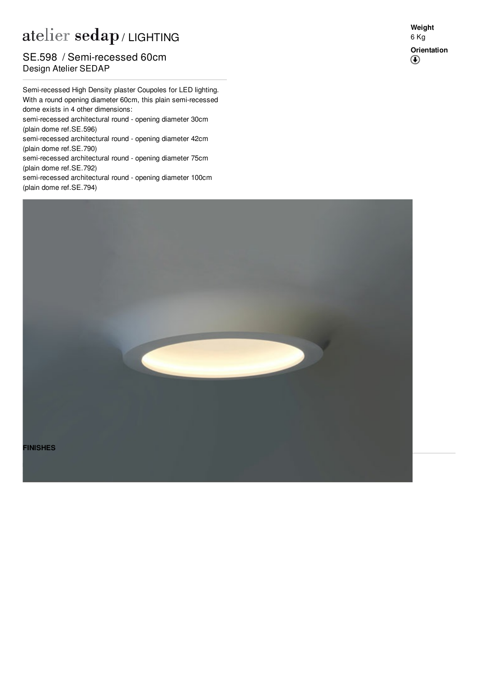## atelier sedap / LIGHTING

## **Design Atelier SEDAP** SE.598 / Semi-recessed 60cm

Semi-recessed High Density plaster Coupoles for LED lighting. With a round opening diameter 60cm, this plain semi-recessed dome exists in 4 other dimensions: semi-recessed architectural round - opening diameter 30cm (plain dome ref[.SE.596](http://www.sedap.com/lighting/fr/produits/view/SE.596)) semi-recessed architectural round - opening diameter 42cm (plain dome ref[.SE.790](http://www.sedap.com/lighting/fr/produits/view/SE.790)) semi-recessed architectural round - opening diameter 75cm (plain dome ref[.SE.792](http://www.sedap.com/lighting/fr/produits/view/SE.792))

semi-recessed architectural round - opening diameter 100cm (plain dome ref[.SE.794](http://www.sedap.com/lighting/fr/produits/view/SE.794))



**Weight** 6 Kg **Orientation** $^{\circledR}$